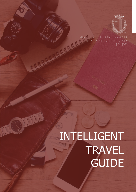

MINISTRY FOR FOREIGN AND EUROPEAN AFFAIRS AND

# INTELLIGENT **TRAVEL GUIDE**

0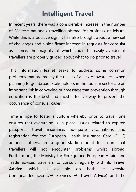## **Intelligent Travel**

In recent years, there was a considerable increase in the number of Maltese nationals travelling abroad for business or leisure. While this is a positive sign, it has also brought about a new set of challenges and a significant increase in requests for consular assistance, the majority of which could be easily avoided if travellers are properly guided about what to do prior to travel.

This information leaflet seeks to address some common problems that are mostly the result of a lack of awareness when planning to go abroad. Stakeholders in the tourism sector are an important link in conveying our message that prevention through education is the best and most effective way to prevent the occurrence of consular cases.

Time is ripe to foster a culture whereby prior to travel, one ensures that everything is in place. Issues related to expired passports, travel insurance, adequate vaccinations and registration for the European Health Insurance Card (EHIC) amongst others; are a good starting point to ensure that travellers will not encounter problems whilst abroad. Furthermore, the Ministry for Foreign and European Affairs and Trade advises travellers to consult regularly with its **Travel Advice**, which is available on both its website (foreignandeu.gov.mt/→ Services → Travel Advice) and the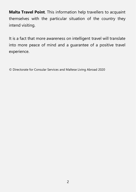**Malta Travel Point**. This information help travellers to acquaint themselves with the particular situation of the country they intend visiting.

It is a fact that more awareness on intelligent travel will translate into more peace of mind and a guarantee of a positive travel experience.

© Directorate for Consular Services and Maltese Living Abroad 2020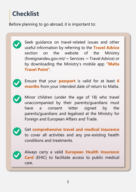# **Checklist**

Before planning to go abroad, it is important to:

Seek guidance on travel-related issues and other useful information by referring to the **Travel Advice** section on the website of the Ministry (foreignandeu.gov.mt/→ Services → Travel Advice) or by downloading the Ministry's mobile app **"Malta Travel Point"**.



Ensure that your **passport** is valid for at least **6 months** from your intended date of return to Malta.

Minor children (under the age of 18) who travel unaccompanied by their parents/guardians must have a consent letter signed by the parents/guardians and legalised at the Ministry for Foreign and European Affairs and Trade.



Get **comprehensive travel and medical insurance** to cover all activities and any pre-existing health conditions and treatments.



Always carry a valid **European Health Insurance Card** (EHIC) to facilitate access to public medical care.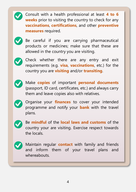

Consult with a health professional at least **4 to 6 weeks** prior to visiting the country to check for any **vaccinations**, **certifications**, and other **preventive measures** required.



Be careful if you are carrying pharmaceutical products or medicines; make sure that these are allowed in the country you are visiting.



Check whether there are any entry and exit requirements (e.g. **visa**, **vaccinations**, etc.) for the country you are **visiting** and/or **transiting**.



Make **copies** of important **personal documents** (passport, ID card, certificates, etc.) and always carry them and leave copies also with relatives.



Organise your **finances** to cover your intended programme and notify your **bank** with the travel plans.



Be **mindful** of the **local laws and customs** of the country your are visiting. Exercise respect towards the locals.



Maintain regular **contact** with family and friends and inform them of your travel plans and whereabouts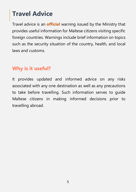# **Travel Advice**

Travel advice is an **official** warning issued by the Ministry that provides useful information for Maltese citizens visiting specific foreign countries. Warnings include brief information on topics such as the security situation of the country, health, and local laws and customs.

#### **Why is it useful?**

It provides updated and informed advice on any risks associated with any one destination as well as any precautions to take before travelling. Such information serves to guide Maltese citizens in making informed decisions prior to travelling abroad.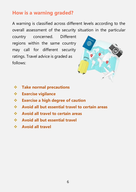#### **How is a warning graded?**

A warning is classified across different levels according to the overall assessment of the security situation in the particular

country concerned. Different regions within the same country may call for different security ratings. Travel advice is graded as follows:



- ❖ **Take normal precautions**
- ❖ **Exercise vigilance**
- ❖ **Exercise a high degree of caution**
- ❖ **Avoid all but essential travel to certain areas**
- ❖ **Avoid all travel to certain areas**
- ❖ **Avoid all but essential travel**
- ❖ **Avoid all travel**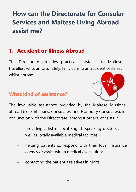# **How can the Directorate for Consular Services and Maltese Living Abroad assist me?**

## **1. Accident or Illness Abroad**

The Directorate provides practical assistance to Maltese travellers who, unfortunately, fall victim to an accident or illness whilst abroad.

#### **What kind of assistance?**



The invaluable assistance provided by the Maltese Missions abroad (i.e. Embassies, Consulates, and Honorary Consulates), in conjunction with the Directorate, amongst others, consists in:

- − providing a list of local English-speaking doctors as well as locally available medical facilities;
- helping patients correspond with their local insurance agency or assist with a medical evacuation;
- − contacting the patient's relatives in Malta;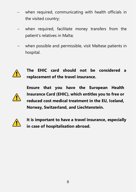- when required, communicating with health officials in the visited country;
- when required, facilitate money transfers from the patient's relatives in Malta;
- − when possible and permissible, visit Maltese patients in hospital.



**The EHIC card should not be considered a replacement of the travel insurance.** 



**Ensure that you have the European Health Insurance Card (EHIC), which entitles you to free or reduced cost medical treatment in the EU, Iceland, Norway, Switzerland, and Liechtenstein.**



**It is important to have a travel insurance, especially in case of hospitalisation abroad.**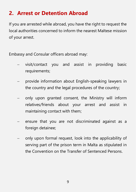## **2. Arrest or Detention Abroad**

If you are arrested while abroad, you have the right to request the local authorities concerned to inform the nearest Maltese mission of your arrest.

Embassy and Consular officers abroad may:

- visit/contact you and assist in providing basic requirements;
- provide information about English-speaking lawyers in the country and the legal procedures of the country;
- − only upon granted consent, the Ministry will inform relatives/friends about your arrest and assist in maintaining contact with them;
- ensure that you are not discriminated against as a foreign detainee;
- − only upon formal request, look into the applicability of serving part of the prison term in Malta as stipulated in the Convention on the Transfer of Sentenced Persons.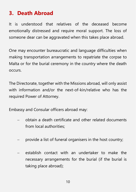## **3. Death Abroad**

It is understood that relatives of the deceased become emotionally distressed and require moral support. The loss of someone dear can be aggravated when this takes place abroad.

One may encounter bureaucratic and language difficulties when making transportation arrangements to repatriate the corpse to Malta or for the burial ceremony in the country where the death occurs.

The Directorate, together with the Missions abroad, will only assist with information and/or the next-of-kin/relative who has the required Power of Attorney.

Embassy and Consular officers abroad may:

- − obtain a death certificate and other related documents from local authorities;
- provide a list of funeral organisers in the host country;
- − establish contact with an undertaker to make the necessary arrangements for the burial (if the burial is taking place abroad);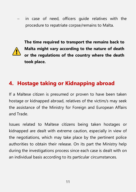in case of need, officers guide relatives with the procedure to repatriate corpse/remains to Malta.



**The time required to transport the remains back to Malta might vary according to the nature of death or the regulations of the country where the death took place.** 

## **4. Hostage taking or Kidnapping abroad**

If a Maltese citizen is presumed or proven to have been taken hostage or kidnapped abroad, relatives of the victim/s may seek the assistance of the Ministry for Foreign and European Affairs and Trade.

Issues related to Maltese citizens being taken hostages or kidnapped are dealt with extreme caution, especially in view of the negotiations, which may take place by the pertinent police authorities to obtain their release. On its part the Ministry help during the investigations process since each case is dealt with on an individual basis according to its particular circumstances.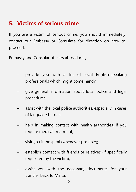## **5. Victims of serious crime**

If you are a victim of serious crime, you should immediately contact our Embassy or Consulate for direction on how to proceed.

Embassy and Consular officers abroad may:

- − provide you with a list of local English-speaking professionals which might come handy;
- − give general information about local police and legal procedures;
- assist with the local police authorities, especially in cases of language barrier;
- help in making contact with health authorities, if you require medical treatment;
- − visit you in hospital (whenever possible);
- − establish contact with friends or relatives (if specifically requested by the victim);
- assist you with the necessary documents for your transfer back to Malta.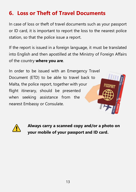## **6. Loss or Theft of Travel Documents**

In case of loss or theft of travel documents such as your passport or ID card, it is important to report the loss to the nearest police station, so that the police issue a report.

If the report is issued in a foreign language, it must be translated into English and then apostilled at the Ministry of Foreign Affairs of the country **where you are**.

In order to be issued with an Emergency Travel Document (ETD) to be able to travel back to Malta, the police report, together with your flight itinerary, should be presented when seeking assistance from the nearest Embassy or Consulate.





**Always carry a scanned copy and/or a photo on your mobile of your passport and ID card.**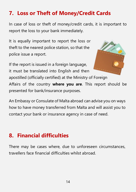## **7. Loss or Theft of Money/Credit Cards**

In case of loss or theft of money/credit cards, it is important to report the loss to your bank immediately.

It is equally important to report the loss or theft to the nearest police station, so that the police issue a report.

If the report is issued in a foreign language, it must be translated into English and then



apostilled (officially certified) at the Ministry of Foreign Affairs of the country **where you are**. This report should be presented for bank/insurance purposes.

An Embassy or Consulate of Malta abroad can advise you on ways how to have money transferred from Malta and will assist you to contact your bank or insurance agency in case of need.

#### **8. Financial difficulties**

There may be cases where, due to unforeseen circumstances, travellers face financial difficulties whilst abroad.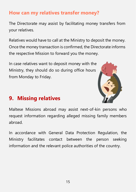#### **How can my relatives transfer money?**

The Directorate may assist by facilitating money transfers from your relatives.

Relatives would have to call at the Ministry to deposit the money. Once the money transaction is confirmed, the Directorate informs the respective Mission to forward you the money.

In case relatives want to deposit money with the Ministry, they should do so during office hours from Monday to Friday.



#### **9. Missing relatives**

Maltese Missions abroad may assist next-of-kin persons who request information regarding alleged missing family members abroad.

In accordance with General Data Protection Regulation, the Ministry facilitates contact between the person seeking information and the relevant police authorities of the country.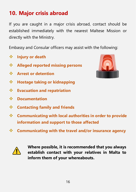## **10. Major crisis abroad**

If you are caught in a major crisis abroad, contact should be established immediately with the nearest Maltese Mission or directly with the Ministry.

Embassy and Consular officers may assist with the following:

- ❖ **Injury or death**
- ❖ **Alleged reported missing persons**
- ❖ **Arrest or detention**
- ❖ **Hostage taking or kidnapping**
- ❖ **Evacuation and repatriation**
- ❖ **Documentation**
- ❖ **Contacting family and friends**
- ❖ **Communicating with local authorities in order to provide information and support to those affected**
- ❖ **Communicating with the travel and/or insurance agency**



**Where possible, it is recommended that you always establish contact with your relatives in Malta to inform them of your whereabouts.**

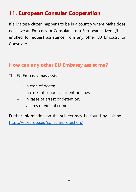## **11. European Consular Cooperation**

If a Maltese citizen happens to be in a country where Malta does not have an Embassy or Consulate, as a European citizen s/he is entitled to request assistance from any other EU Embassy or Consulate.

#### **How can any other EU Embassy assist me?**

The EU Embassy may assist:

- − in case of death;
- − in cases of serious accident or illness;
- − in cases of arrest or detention;
- − victims of violent crime.

Further information on the subject may be found by visiting <https://ec.europa.eu/consularprotection/>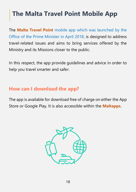# **The Malta Travel Point Mobile App**

The **Malta Travel Point** mobile app which was launched by the Office of the Prime Minister in April 2018, is designed to address travel-related issues and aims to bring services offered by the Ministry and its Missions closer to the public.

In this respect, the app provide guidelines and advice in order to help you travel smarter and safer.

#### **How can I download the app?**

The app is available for download free of charge on either the App Store or Google Play. It is also accessible within the **Maltapps**.

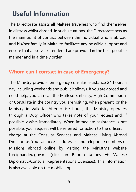# **Useful Information**

The Directorate assists all Maltese travellers who find themselves in distress whilst abroad. In such situations, the Directorate acts as the main point of contact between the individual who is abroad and his/her family in Malta, to facilitate any possible support and ensure that all services rendered are provided in the best possible manner and in a timely order.

#### **Whom can I contact in case of Emergency?**

The Ministry provides emergency consular assistance 24 hours a day including weekends and public holidays. If you are abroad and need help, you can call the Maltese Embassy, High Commission, or Consulate in the country you are visiting, when present, or the Ministry in Valletta. After office hours, the Ministry operates through a Duty Officer who takes note of your request and, if possible, assists immediately. When immediate assistance is not possible, your request will be referred for action to the officers in charge at the Consular Services and Maltese Living Abroad Directorate. You can access addresses and telephone numbers of Missions abroad online by visiting the Ministry's website foreignandeu.gov.mt (click on Representations → Maltese Diplomatic/Consular Representations Overseas). This information is also available on the mobile app.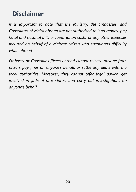# **Disclaimer**

*It is important to note that the Ministry, the Embassies, and Consulates of Malta abroad are not authorised to lend money, pay hotel and hospital bills or repatriation costs, or any other expenses incurred on behalf of a Maltese citizen who encounters difficulty while abroad.*

*Embassy or Consular officers abroad cannot release anyone from prison, pay fines on anyone's behalf, or settle any debts with the local authorities. Moreover, they cannot offer legal advice, get involved in judicial procedures, and carry out investigations on anyone's behalf.*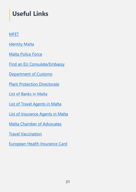# **Useful Links**

#### **[MFET](https://foreign.gov.mt/en/Pages/Home.aspx)**

[Identity Malta](https://identitymalta.com/)

[Malta Police Force](https://pulizija.gov.mt/mt/Pages/Home.aspx)

[Find an EU Consulate/Embassy](https://ec.europa.eu/consularprotection/content/find-embassy-consulate_en)

[Department of Customs](https://customs.gov.mt/)

[Plant Protection Directorate](https://agriculture.gov.mt/en/phd/Pages/home.aspx)

[List of Banks in Malta](https://www.mfsa.mt/financial-services-register/)

[List of Travel Agents in Malta](https://www.visitmalta.com/en/local-agents)

[List of Insurance Agents in Malta](https://www.ezilon.com/regional/malta/business_and_economy/insurance/index.shtml)

Malta [Chamber of Advocates](https://www.avukati.org/)

**[Travel Vaccination](https://deputyprimeminister.gov.mt/en/phc/pchyhi/Pages/Travel-Vaccination.aspx)** 

[European Health Insurance Card](https://servizz.gov.mt/en/Pages/Health-and-Community-Care/Health/Health-Policy/WEB012/default.aspx)